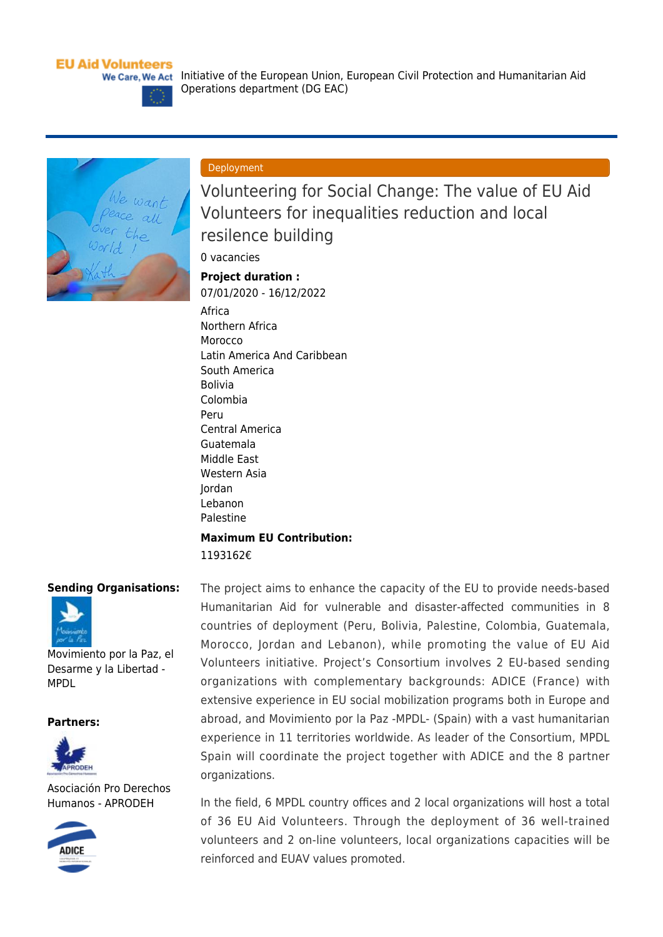### **EU Aid Volunteers**



### Deployment

Operations department (DG EAC)

Volunteering for Social Change: The value of EU Aid Volunteers for inequalities reduction and local resilence building

0 vacancies

# **Project duration :**

07/01/2020 - 16/12/2022

[Africa](https://webgate.ec.europa.eu/echo/eu-aid-volunteers_en/regions/africa_en) [Northern Africa](https://webgate.ec.europa.eu/echo/eu-aid-volunteers_en/regions/northern-africa_en) **[Morocco](https://webgate.ec.europa.eu/echo/eu-aid-volunteers_en/regions/morocco_en)** [Latin America And Caribbean](https://webgate.ec.europa.eu/echo/eu-aid-volunteers_en/regions/latin-america-and-caribbean_en) [South America](https://webgate.ec.europa.eu/echo/eu-aid-volunteers_en/regions/south-america_en) [Bolivia](https://webgate.ec.europa.eu/echo/eu-aid-volunteers_en/regions/bolivia_en) [Colombia](https://webgate.ec.europa.eu/echo/eu-aid-volunteers_en/regions/colombia_en) [Peru](https://webgate.ec.europa.eu/echo/eu-aid-volunteers_en/regions/peru_en) [Central America](https://webgate.ec.europa.eu/echo/eu-aid-volunteers_en/regions/central-america_en) [Guatemala](https://webgate.ec.europa.eu/echo/eu-aid-volunteers_en/regions/guatemala_en) [Middle East](https://webgate.ec.europa.eu/echo/eu-aid-volunteers_en/regions/middle-east_en) [Western Asia](https://webgate.ec.europa.eu/echo/eu-aid-volunteers_en/regions/western-asia-0_en) [Jordan](https://webgate.ec.europa.eu/echo/eu-aid-volunteers_en/regions/jordan_en) [Lebanon](https://webgate.ec.europa.eu/echo/eu-aid-volunteers_en/regions/lebanon_en) [Palestine](https://webgate.ec.europa.eu/echo/eu-aid-volunteers_en/regions/palestine_en) **Maximum EU Contribution:** 

1193162€

### **Sending Organisations:**



[Movimiento por la Paz, el](https://webgate.ec.europa.eu/echo/eu-aid-volunteers_en/movimiento-por-la-paz-el-desarme-y-la-libertad-mpdl_en) [Desarme y la Libertad -](https://webgate.ec.europa.eu/echo/eu-aid-volunteers_en/movimiento-por-la-paz-el-desarme-y-la-libertad-mpdl_en) [MPDL](https://webgate.ec.europa.eu/echo/eu-aid-volunteers_en/movimiento-por-la-paz-el-desarme-y-la-libertad-mpdl_en)

#### **Partners:**



[Asociación Pro Derechos](https://webgate.ec.europa.eu/echo/eu-aid-volunteers_en/asociaci%C3%B3n-pro-derechos-humanos-aprodeh_en) [Humanos - APRODEH](https://webgate.ec.europa.eu/echo/eu-aid-volunteers_en/asociaci%C3%B3n-pro-derechos-humanos-aprodeh_en)



The project aims to enhance the capacity of the EU to provide needs-based Humanitarian Aid for vulnerable and disaster-affected communities in 8 countries of deployment (Peru, Bolivia, Palestine, Colombia, Guatemala, Morocco, Jordan and Lebanon), while promoting the value of EU Aid Volunteers initiative. Project's Consortium involves 2 EU-based sending organizations with complementary backgrounds: ADICE (France) with extensive experience in EU social mobilization programs both in Europe and abroad, and Movimiento por la Paz -MPDL- (Spain) with a vast humanitarian experience in 11 territories worldwide. As leader of the Consortium, MPDL Spain will coordinate the project together with ADICE and the 8 partner organizations.

In the field, 6 MPDL country offices and 2 local organizations will host a total of 36 EU Aid Volunteers. Through the deployment of 36 well-trained volunteers and 2 on-line volunteers, local organizations capacities will be reinforced and EUAV values promoted.